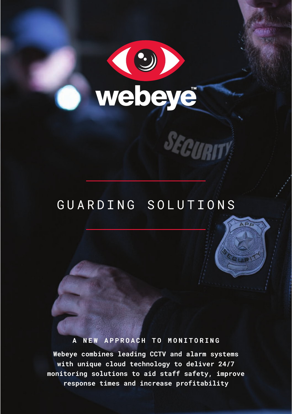

## GUARDING SOLUTIONS

SECURIT

 $\overline{APB}$ 

#### **A NEW APPROACH TO MONITORING**

**Webeye combines leading CCTV and alarm systems with unique cloud technology to deliver 24/7 monitoring solutions to aid staff safety, improve response times and increase profitability**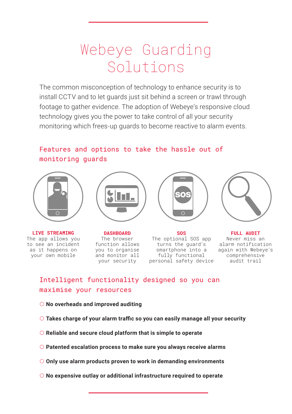## Webeye Guarding Solutions

The common misconception of technology to enhance security is to install CCTV and to let guards just sit behind a screen or trawl through footage to gather evidence. The adoption of Webeye's responsive cloud technology gives you the power to take control of all your security monitoring which frees-up guards to become reactive to alarm events.

## Features and options to take the hassle out of monitoring guards



**LIVE STREAMING** The app allows you to see an incident as it happens on your own mobile



**DASHBOARD** The browser function allows you to organise and monitor all your security



**SOS** The optional SOS app turns the guard's smartphone into a fully functional personal safety device



**FULL AUDIT** Never miss an alarm notification again with Webeye's comprehensive audit trail

## Intelligent functionality designed so you can maximise your resources

#### **No overheads and improved auditing**

- **Takes charge of your alarm traffic so you can easily manage all your security**
- **Reliable and secure cloud platform that is simple to operate**
- **Patented escalation process to make sure you always receive alarms**
- **Only use alarm products proven to work in demanding environments**
- **No expensive outlay or additional infrastructure required to operate**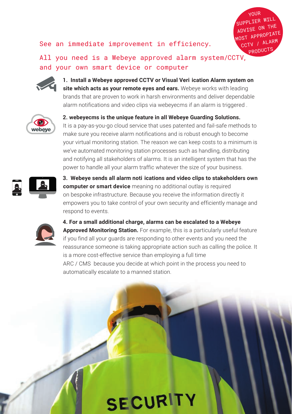### See an immediate improvement in efficiency.

YOUR SUPPLIER WILL ADVISE ON THE MOST APPROPIATE CCTV / ALARM **PRODUCTS** 

All you need is a Webeye approved alarm system/CCTV, and your own smart device or computer



**1. Install a Webeye approved CCTV or Visual Veri ication Alarm system on site which acts as your remote eyes and ears.** Webeye works with leading brands that are proven to work in harsh environments and deliver dependable alarm notifications and video clips via webeyecms if an alarm is triggered .



**2. webeyecms is the unique feature in all Webeye Guarding Solutions.** It is a pay-as-you-go cloud service that uses patented and fail-safe methods to make sure you receive alarm notifications and is robust enough to become your virtual monitoring station. The reason we can keep costs to a minimum is we've automated monitoring station processes such as handling, distributing and notifying all stakeholders of alarms. It is an intelligent system that has the power to handle all your alarm traffic whatever the size of your business.



**3. Webeye sends all alarm noti ications and video clips to stakeholders own computer or smart device** meaning no additional outlay is required on bespoke infrastructure. Because you receive the information directly it empowers you to take control of your own security and efficiently manage and respond to events.



**4. For a small additional charge, alarms can be escalated to a Webeye Approved Monitoring Station.** For example, this is a particularly useful feature if you find all your guards are responding to other events and you need the reassurance someone is taking appropriate action such as calling the police. It is a more cost-effective service than employing a full time ARC / CMS because you decide at which point in the process you need to automatically escalate to a manned station.

**SECURITY**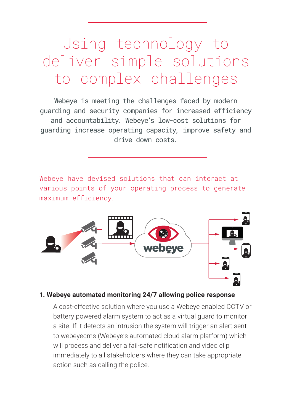## Using technology to deliver simple solutions to complex challenges

Webeye is meeting the challenges faced by modern guarding and security companies for increased efficiency and accountability. Webeye's low-cost solutions for guarding increase operating capacity, improve safety and drive down costs.

Webeye have devised solutions that can interact at various points of your operating process to generate maximum efficiency.



#### **1. Webeye automated monitoring 24/7 allowing police response**

A cost-effective solution where you use a Webeye enabled CCTV or battery powered alarm system to act as a virtual guard to monitor a site. If it detects an intrusion the system will trigger an alert sent to webeyecms (Webeye's automated cloud alarm platform) which will process and deliver a fail-safe notification and video clip immediately to all stakeholders where they can take appropriate action such as calling the police.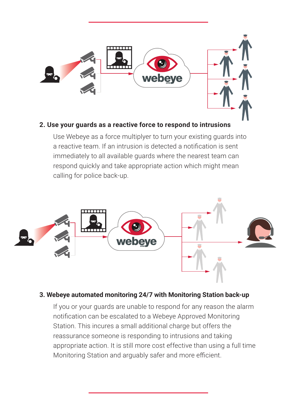

## **2. Use your guards as a reactive force to respond to intrusions**

Use Webeye as a force multiplyer to turn your existing guards into a reactive team. If an intrusion is detected a notification is sent immediately to all available guards where the nearest team can respond quickly and take appropriate action which might mean calling for police back-up.



## **3. Webeye automated monitoring 24/7 with Monitoring Station back-up**

If you or your guards are unable to respond for any reason the alarm notification can be escalated to a Webeye Approved Monitoring Station. This incures a small additional charge but offers the reassurance someone is responding to intrusions and taking appropriate action. It is still more cost effective than using a full time Monitoring Station and arguably safer and more efficient.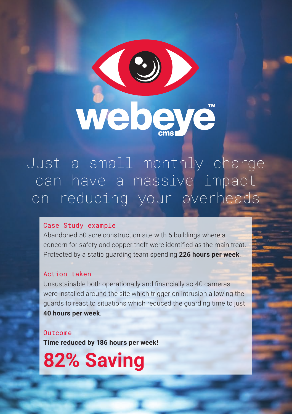

Just a small monthly charge can have a massive impact on reducing your overheads

## Case Study example

Abandoned 50 acre construction site with 5 buildings where a concern for safety and copper theft were identified as the main treat. Protected by a static guarding team spending **226 hours per week**.

#### Action taken

Unsustainable both operationally and financially so 40 cameras were installed around the site which trigger on intrusion allowing the guards to react to situations which reduced the guarding time to just **40 hours per week**.

#### Outcome

**Time reduced by 186 hours per week!** 

**82% Saving**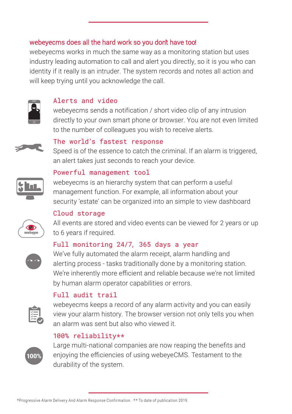## webeyecms does all the hard work so you don't have too!

webeyecms works in much the same way as a monitoring station but uses industry leading automation to call and alert you directly, so it is you who can identity if it really is an intruder. The system records and notes all action and will keep trying until you acknowledge the call.



## Alerts and video

webeyecms sends a notification / short video clip of any intrusion directly to your own smart phone or browser. You are not even limited to the number of colleagues you wish to receive alerts.

## The world's fastest response

Speed is of the essence to catch the criminal. If an alarm is triggered, an alert takes just seconds to reach your device.

## Powerful management tool

webeyecms is an hierarchy system that can perform a useful management function. For example, all information about your security 'estate' can be organized into an simple to view dashboard

## Cloud storage

All events are stored and video events can be viewed for 2 years or up to 6 years if required.

## Full monitoring 24/7, 365 days a year



We've fully automated the alarm receipt, alarm handling and alerting process - tasks traditionally done by a monitoring station. We're inherently more efficient and reliable because we're not limited by human alarm operator capabilities or errors.

## Full audit trail



webeyecms keeps a record of any alarm activity and you can easily view your alarm history. The browser version not only tells you when an alarm was sent but also who viewed it.

## 100% reliability\*\*

\*Progressive Alarm Delivery And Alarm Response Confirmation. \*\* To date of publication 2019.



Large multi-national companies are now reaping the benefits and enjoying the efficiencies of using webeyeCMS. Testament to the durability of the system.